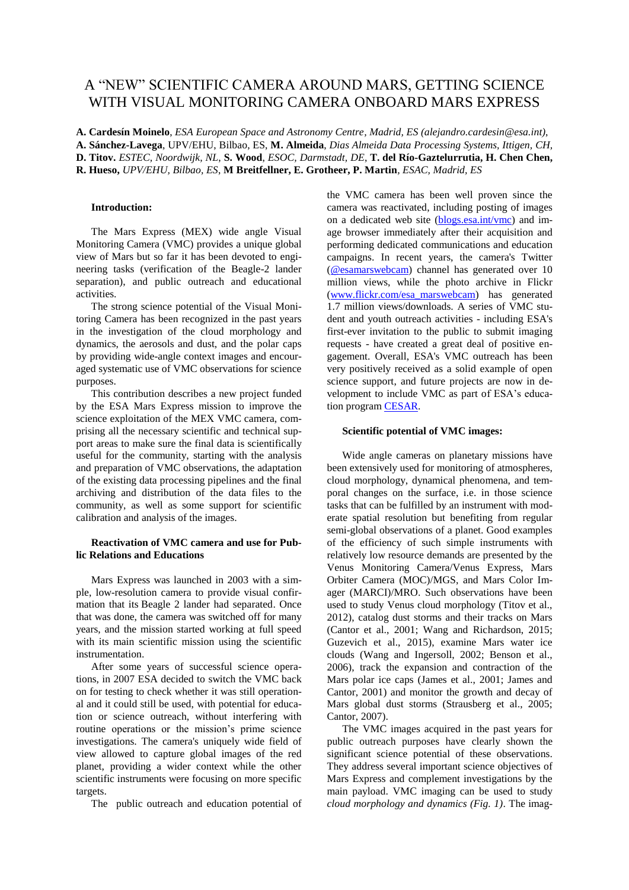# A "NEW" SCIENTIFIC CAMERA AROUND MARS, GETTING SCIENCE WITH VISUAL MONITORING CAMERA ONBOARD MARS EXPRESS

**A. Cardesín Moinelo**, *ESA European Space and Astronomy Centre, Madrid, ES (alejandro.cardesin@esa.int)*, **A. Sánchez-Lavega**, UPV/EHU, Bilbao, ES, **M. Almeida**, *Dias Almeida Data Processing Systems, Ittigen, CH,*  **D. Titov.** *ESTEC, Noordwijk, NL*, **S. Wood**, *ESOC, Darmstadt, DE*, **T. del Río-Gaztelurrutia, H. Chen Chen, R. Hueso,** *UPV/EHU, Bilbao, ES*, **M Breitfellner, E. Grotheer, P. Martin***, ESAC, Madrid, ES*

### **Introduction:**

The Mars Express (MEX) wide angle Visual Monitoring Camera (VMC) provides a unique global view of Mars but so far it has been devoted to engineering tasks (verification of the Beagle-2 lander separation), and public outreach and educational activities.

The strong science potential of the Visual Monitoring Camera has been recognized in the past years in the investigation of the cloud morphology and dynamics, the aerosols and dust, and the polar caps by providing wide-angle context images and encouraged systematic use of VMC observations for science purposes.

This contribution describes a new project funded by the ESA Mars Express mission to improve the science exploitation of the MEX VMC camera, comprising all the necessary scientific and technical support areas to make sure the final data is scientifically useful for the community, starting with the analysis and preparation of VMC observations, the adaptation of the existing data processing pipelines and the final archiving and distribution of the data files to the community, as well as some support for scientific calibration and analysis of the images.

## **Reactivation of VMC camera and use for Public Relations and Educations**

Mars Express was launched in 2003 with a simple, low-resolution camera to provide visual confirmation that its Beagle 2 lander had separated. Once that was done, the camera was switched off for many years, and the mission started working at full speed with its main scientific mission using the scientific instrumentation.

After some years of successful science operations, in 2007 ESA decided to switch the VMC back on for testing to check whether it was still operational and it could still be used, with potential for education or science outreach, without interfering with routine operations or the mission's prime science investigations. The camera's uniquely wide field of view allowed to capture global images of the red planet, providing a wider context while the other scientific instruments were focusing on more specific targets.

The public outreach and education potential of

the VMC camera has been well proven since the camera was reactivated, including posting of images on a dedicated web site [\(blogs.esa.int/vmc\)](http://blogs.esa.int/vmc/) and image browser immediately after their acquisition and performing dedicated communications and education campaigns. In recent years, the camera's Twitter [\(@esamarswebcam\)](https://twitter.com/esamarswebcam) channel has generated over 10 million views, while the photo archive in Flickr [\(www.flickr.com/esa\\_marswebcam\)](http://www.flickr.com/esa_marswebcam) has generated 1.7 million views/downloads. A series of VMC student and youth outreach activities - including ESA's first-ever invitation to the public to submit imaging requests - have created a great deal of positive engagement. Overall, ESA's VMC outreach has been very positively received as a solid example of open science support, and future projects are now in development to include VMC as part of ESA's education program [CESAR.](http://www.cosmos.esa.int/web/cesar)

## **Scientific potential of VMC images:**

Wide angle cameras on planetary missions have been extensively used for monitoring of atmospheres, cloud morphology, dynamical phenomena, and temporal changes on the surface, i.e. in those science tasks that can be fulfilled by an instrument with moderate spatial resolution but benefiting from regular semi-global observations of a planet. Good examples of the efficiency of such simple instruments with relatively low resource demands are presented by the Venus Monitoring Camera/Venus Express, Mars Orbiter Camera (MOC)/MGS, and Mars Color Imager (MARCI)/MRO. Such observations have been used to study Venus cloud morphology (Titov et al., 2012), catalog dust storms and their tracks on Mars (Cantor et al., 2001; Wang and Richardson, 2015; Guzevich et al., 2015), examine Mars water ice clouds (Wang and Ingersoll, 2002; Benson et al., 2006), track the expansion and contraction of the Mars polar ice caps (James et al., 2001; James and Cantor, 2001) and monitor the growth and decay of Mars global dust storms (Strausberg et al., 2005; Cantor, 2007).

The VMC images acquired in the past years for public outreach purposes have clearly shown the significant science potential of these observations. They address several important science objectives of Mars Express and complement investigations by the main payload. VMC imaging can be used to study *cloud morphology and dynamics (Fig. 1)*. The imag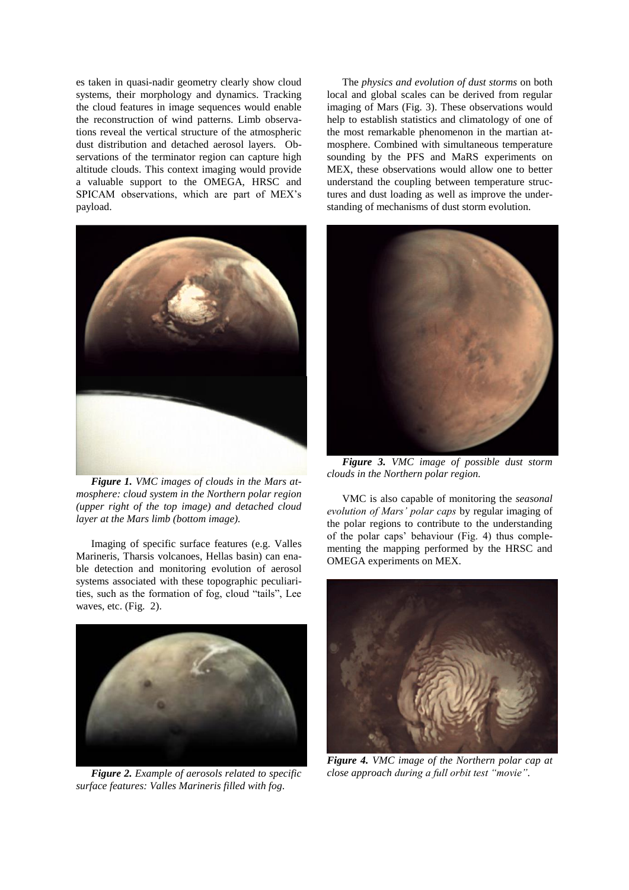es taken in quasi-nadir geometry clearly show cloud systems, their morphology and dynamics. Tracking the cloud features in image sequences would enable the reconstruction of wind patterns. Limb observations reveal the vertical structure of the atmospheric dust distribution and detached aerosol layers. Observations of the terminator region can capture high altitude clouds. This context imaging would provide a valuable support to the OMEGA, HRSC and SPICAM observations, which are part of MEX's payload.



*Figure 1. VMC images of clouds in the Mars atmosphere: cloud system in the Northern polar region (upper right of the top image) and detached cloud layer at the Mars limb (bottom image).*

Imaging of specific surface features (e.g. Valles Marineris, Tharsis volcanoes, Hellas basin) can enable detection and monitoring evolution of aerosol systems associated with these topographic peculiarities, such as the formation of fog, cloud "tails", Lee waves, etc. (Fig. 2).



*Figure 2. Example of aerosols related to specific surface features: Valles Marineris filled with fog.*

The *physics and evolution of dust storms* on both local and global scales can be derived from regular imaging of Mars (Fig. 3). These observations would help to establish statistics and climatology of one of the most remarkable phenomenon in the martian atmosphere. Combined with simultaneous temperature sounding by the PFS and MaRS experiments on MEX, these observations would allow one to better understand the coupling between temperature structures and dust loading as well as improve the understanding of mechanisms of dust storm evolution.



*Figure 3. VMC image of possible dust storm clouds in the Northern polar region.*

VMC is also capable of monitoring the *seasonal evolution of Mars' polar caps* by regular imaging of the polar regions to contribute to the understanding of the polar caps' behaviour (Fig. 4) thus complementing the mapping performed by the HRSC and OMEGA experiments on MEX.



*Figure 4. VMC image of the Northern polar cap at close approach during a full orbit test "movie".*